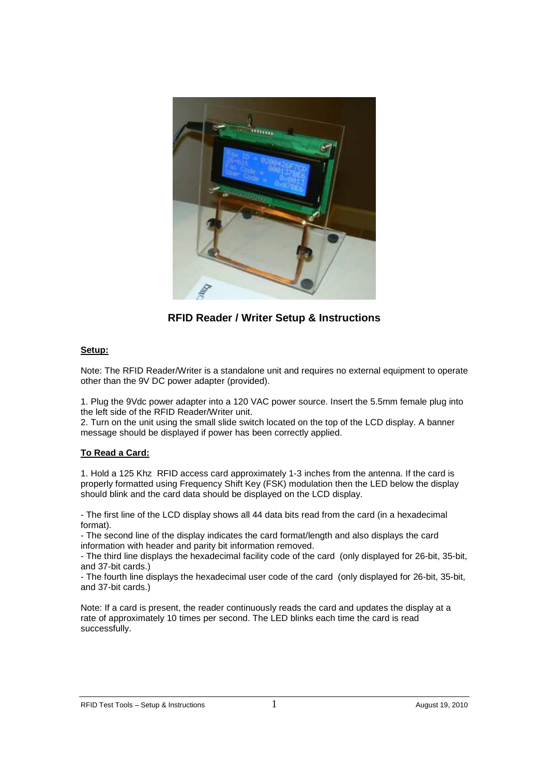

**RFID Reader / Writer Setup & Instructions** 

# **Setup:**

Note: The RFID Reader/Writer is a standalone unit and requires no external equipment to operate other than the 9V DC power adapter (provided).

1. Plug the 9Vdc power adapter into a 120 VAC power source. Insert the 5.5mm female plug into the left side of the RFID Reader/Writer unit.

2. Turn on the unit using the small slide switch located on the top of the LCD display. A banner message should be displayed if power has been correctly applied.

## **To Read a Card:**

1. Hold a 125 Khz RFID access card approximately 1-3 inches from the antenna. If the card is properly formatted using Frequency Shift Key (FSK) modulation then the LED below the display should blink and the card data should be displayed on the LCD display.

- The first line of the LCD display shows all 44 data bits read from the card (in a hexadecimal format).

- The second line of the display indicates the card format/length and also displays the card information with header and parity bit information removed.

- The third line displays the hexadecimal facility code of the card (only displayed for 26-bit, 35-bit, and 37-bit cards.)

- The fourth line displays the hexadecimal user code of the card (only displayed for 26-bit, 35-bit, and 37-bit cards.)

Note: If a card is present, the reader continuously reads the card and updates the display at a rate of approximately 10 times per second. The LED blinks each time the card is read successfully.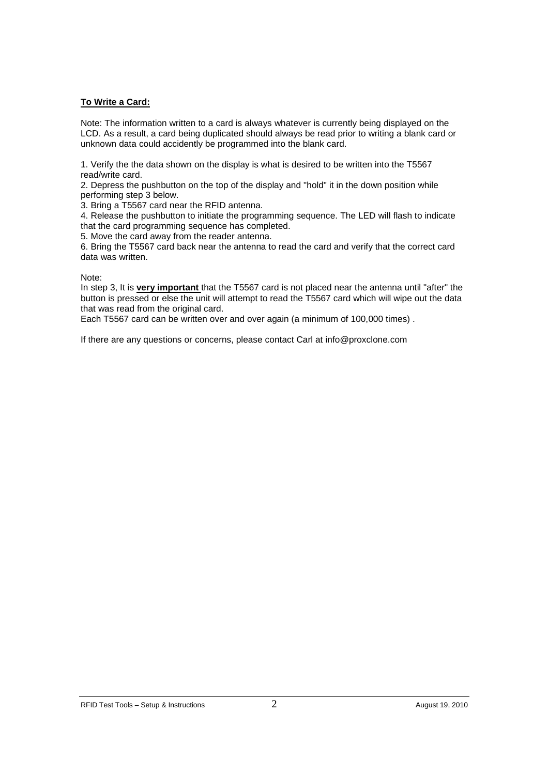### **To Write a Card:**

Note: The information written to a card is always whatever is currently being displayed on the LCD. As a result, a card being duplicated should always be read prior to writing a blank card or unknown data could accidently be programmed into the blank card.

1. Verify the the data shown on the display is what is desired to be written into the T5567 read/write card.

2. Depress the pushbutton on the top of the display and "hold" it in the down position while performing step 3 below.

3. Bring a T5567 card near the RFID antenna.

4. Release the pushbutton to initiate the programming sequence. The LED will flash to indicate that the card programming sequence has completed.

5. Move the card away from the reader antenna.

6. Bring the T5567 card back near the antenna to read the card and verify that the correct card data was written.

Note:

In step 3, It is **very important** that the T5567 card is not placed near the antenna until "after" the button is pressed or else the unit will attempt to read the T5567 card which will wipe out the data that was read from the original card.

Each T5567 card can be written over and over again (a minimum of 100,000 times) .

If there are any questions or concerns, please contact Carl at info@proxclone.com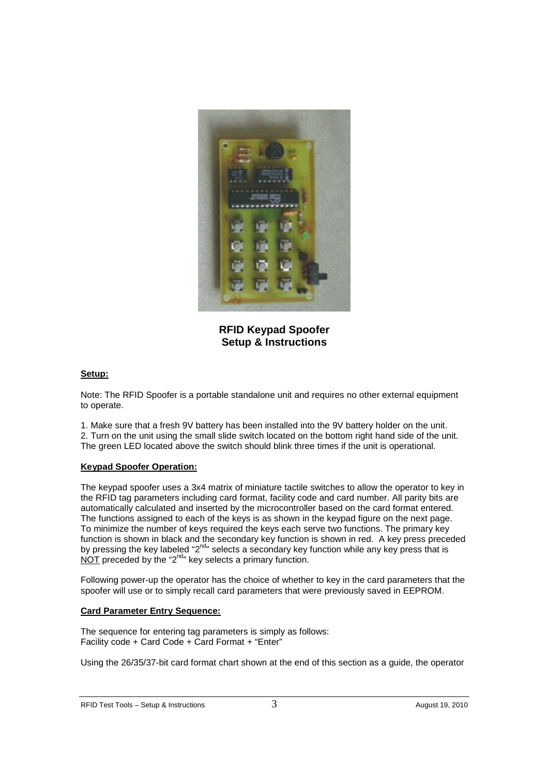

**RFID Keypad Spoofer Setup & Instructions** 

## **Setup:**

Note: The RFID Spoofer is a portable standalone unit and requires no other external equipment to operate.

1. Make sure that a fresh 9V battery has been installed into the 9V battery holder on the unit. 2. Turn on the unit using the small slide switch located on the bottom right hand side of the unit. The green LED located above the switch should blink three times if the unit is operational.

## **Keypad Spoofer Operation:**

The keypad spoofer uses a 3x4 matrix of miniature tactile switches to allow the operator to key in the RFID tag parameters including card format, facility code and card number. All parity bits are automatically calculated and inserted by the microcontroller based on the card format entered. The functions assigned to each of the keys is as shown in the keypad figure on the next page. To minimize the number of keys required the keys each serve two functions. The primary key function is shown in black and the secondary key function is shown in red. A key press preceded by pressing the key labeled "2<sup>nd</sup>" selects a secondary key function while any key press that is NOT preceded by the "2<sup>nd</sup>" key selects a primary function.

Following power-up the operator has the choice of whether to key in the card parameters that the spoofer will use or to simply recall card parameters that were previously saved in EEPROM.

## **Card Parameter Entry Sequence:**

The sequence for entering tag parameters is simply as follows: Facility code + Card Code + Card Format + "Enter"

Using the 26/35/37-bit card format chart shown at the end of this section as a guide, the operator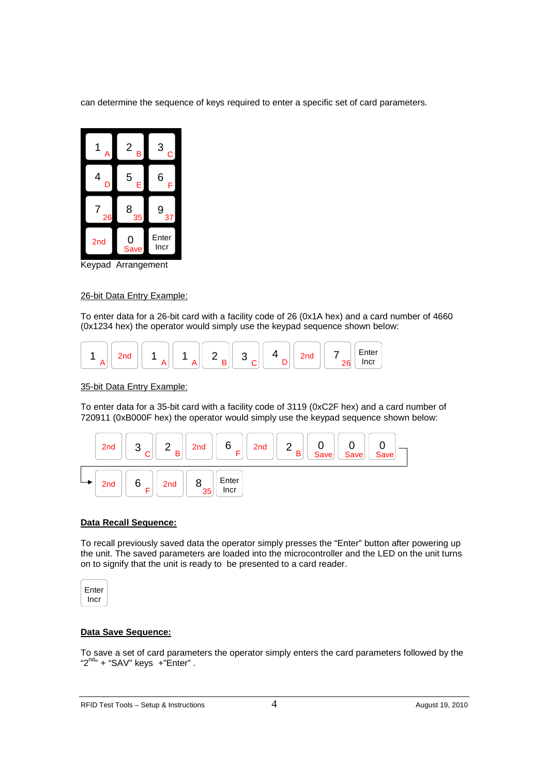can determine the sequence of keys required to enter a specific set of card parameters.



Keypad Arrangement

## 26-bit Data Entry Example:

To enter data for a 26-bit card with a facility code of 26 (0x1A hex) and a card number of 4660 (0x1234 hex) the operator would simply use the keypad sequence shown below:



### 35-bit Data Entry Example:

To enter data for a 35-bit card with a facility code of 3119 (0xC2F hex) and a card number of 720911 (0xB000F hex) the operator would simply use the keypad sequence shown below:



#### **Data Recall Sequence:**

To recall previously saved data the operator simply presses the "Enter" button after powering up the unit. The saved parameters are loaded into the microcontroller and the LED on the unit turns on to signify that the unit is ready to be presented to a card reader.



## **Data Save Sequence:**

To save a set of card parameters the operator simply enters the card parameters followed by the " $2^{nd}$ " + "SAV" keys +"Enter".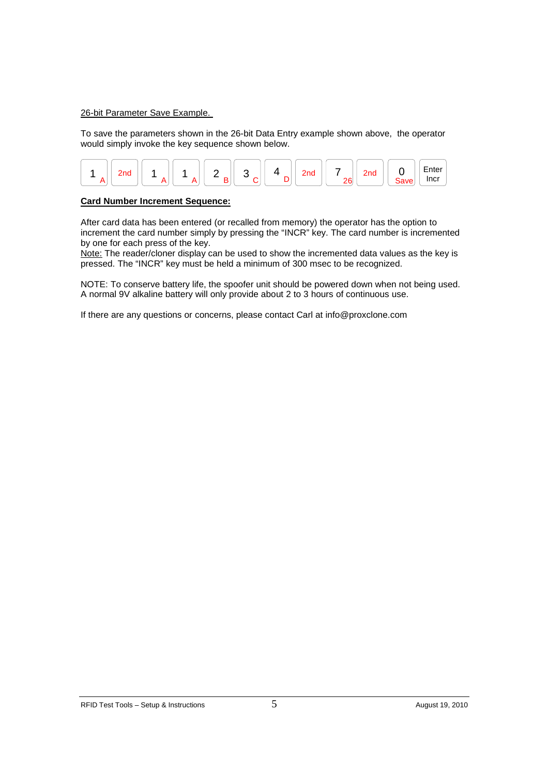#### 26-bit Parameter Save Example.

To save the parameters shown in the 26-bit Data Entry example shown above, the operator would simply invoke the key sequence shown below.



### **Card Number Increment Sequence:**

After card data has been entered (or recalled from memory) the operator has the option to increment the card number simply by pressing the "INCR" key. The card number is incremented by one for each press of the key.

Note: The reader/cloner display can be used to show the incremented data values as the key is pressed. The "INCR" key must be held a minimum of 300 msec to be recognized.

NOTE: To conserve battery life, the spoofer unit should be powered down when not being used. A normal 9V alkaline battery will only provide about 2 to 3 hours of continuous use.

If there are any questions or concerns, please contact Carl at info@proxclone.com